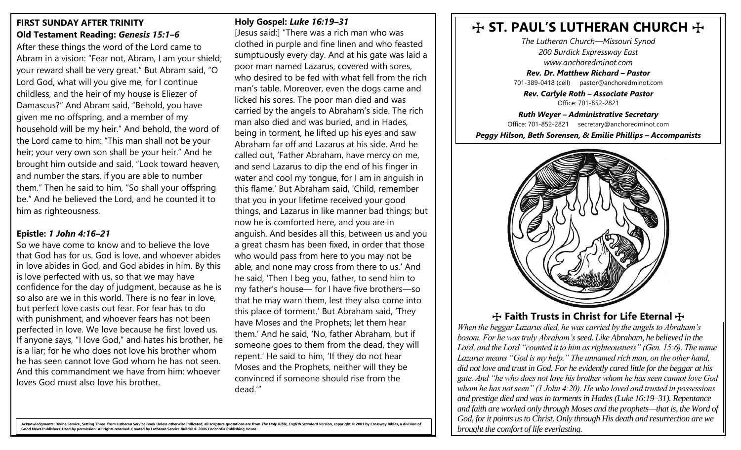### **FIRST SUNDAY AFTER TRINITY Old Testament Reading:** *Genesis 15:1–6*

After these things the word of the Lord came to Abram in a vision: "Fear not, Abram, I am your shield; your reward shall be very great." But Abram said, "O Lord God, what will you give me, for I continue childless, and the heir of my house is Eliezer of Damascus?" And Abram said, "Behold, you have given me no offspring, and a member of my household will be my heir." And behold, the word of the Lord came to him: "This man shall not be your heir; your very own son shall be your heir." And he brought him outside and said, "Look toward heaven, and number the stars, if you are able to number them." Then he said to him, "So shall your offspring be." And he believed the Lord, and he counted it to him as righteousness.

#### **Epistle:** *1 John 4:16–21*

So we have come to know and to believe the love that God has for us. God is love, and whoever abides in love abides in God, and God abides in him. By this is love perfected with us, so that we may have confidence for the day of judgment, because as he is so also are we in this world. There is no fear in love, but perfect love casts out fear. For fear has to do with punishment, and whoever fears has not been perfected in love. We love because he first loved us. If anyone says, "I love God," and hates his brother, he is a liar; for he who does not love his brother whom he has seen cannot love God whom he has not seen. And this commandment we have from him: whoever loves God must also love his brother.

#### **Holy Gospel:** *Luke 16:19–31*

[Jesus said:] "There was a rich man who was clothed in purple and fine linen and who feasted sumptuously every day. And at his gate was laid a poor man named Lazarus, covered with sores, who desired to be fed with what fell from the rich man's table. Moreover, even the dogs came and licked his sores. The poor man died and was carried by the angels to Abraham's side. The rich man also died and was buried, and in Hades, being in torment, he lifted up his eyes and saw Abraham far off and Lazarus at his side. And he called out, 'Father Abraham, have mercy on me, and send Lazarus to dip the end of his finger in water and cool my tongue, for I am in anguish in this flame.' But Abraham said, 'Child, remember that you in your lifetime received your good things, and Lazarus in like manner bad things; but now he is comforted here, and you are in anguish. And besides all this, between us and you a great chasm has been fixed, in order that those who would pass from here to you may not be able, and none may cross from there to us.' And he said, 'Then I beg you, father, to send him to my father's house— for I have five brothers—so that he may warn them, lest they also come into this place of torment.' But Abraham said, 'They have Moses and the Prophets; let them hear them.' And he said, 'No, father Abraham, but if someone goes to them from the dead, they will repent.' He said to him, 'If they do not hear Moses and the Prophets, neither will they be convinced if someone should rise from the dead.'"

# $H$  ST. PAUL'S LUTHERAN CHURCH  $H$

*The Lutheran Church—Missouri Synod 200 Burdick Expressway East www.anchoredminot.com*

*Rev. Dr. Matthew Richard – Pastor*  701-389-0418 (cell) pastor@anchoredminot.com

*Rev. Carlyle Roth – Associate Pastor*  Office: 701-852-2821

*Ruth Weyer – Administrative Secretary* Office: 701-852-2821 secretary@anchoredminot.com

*Peggy Hilson, Beth Sorensen, & Emilie Phillips – Accompanists*



## **The Faith Trusts in Christ for Life Eternal Trusts in Christ for Life Eternal Trusts**

*When the beggar Lazarus died, he was carried by the angels to Abraham's bosom. For he was truly Abraham's seed. Like Abraham, he believed in the Lord, and the Lord "counted it to him as righteousness" (Gen. 15:6). The name Lazarus means "God is my help." The unnamed rich man, on the other hand, did not love and trust in God. For he evidently cared little for the beggar at his gate. And "he who does not love his brother whom he has seen cannot love God whom he has not seen" (1 John 4:20). He who loved and trusted in possessions and prestige died and was in torments in Hades (Luke 16:19–31). Repentance and faith are worked only through Moses and the prophets—that is, the Word of God, for it points us to Christ. Only through His death and resurrection are we brought the comfort of life everlasting.*

ments: Divine Service, Setting Three from Lutheran Service Book Unless otherwise indicated, all scripture quotations are from *The Holy Bible, English Standard Version,* copyright © 2001 by Crossway Bibles **Good News Publishers. Used by permission. All rights reserved. Created by Lutheran Service Builder © 2006 Concordia Publishing House.**